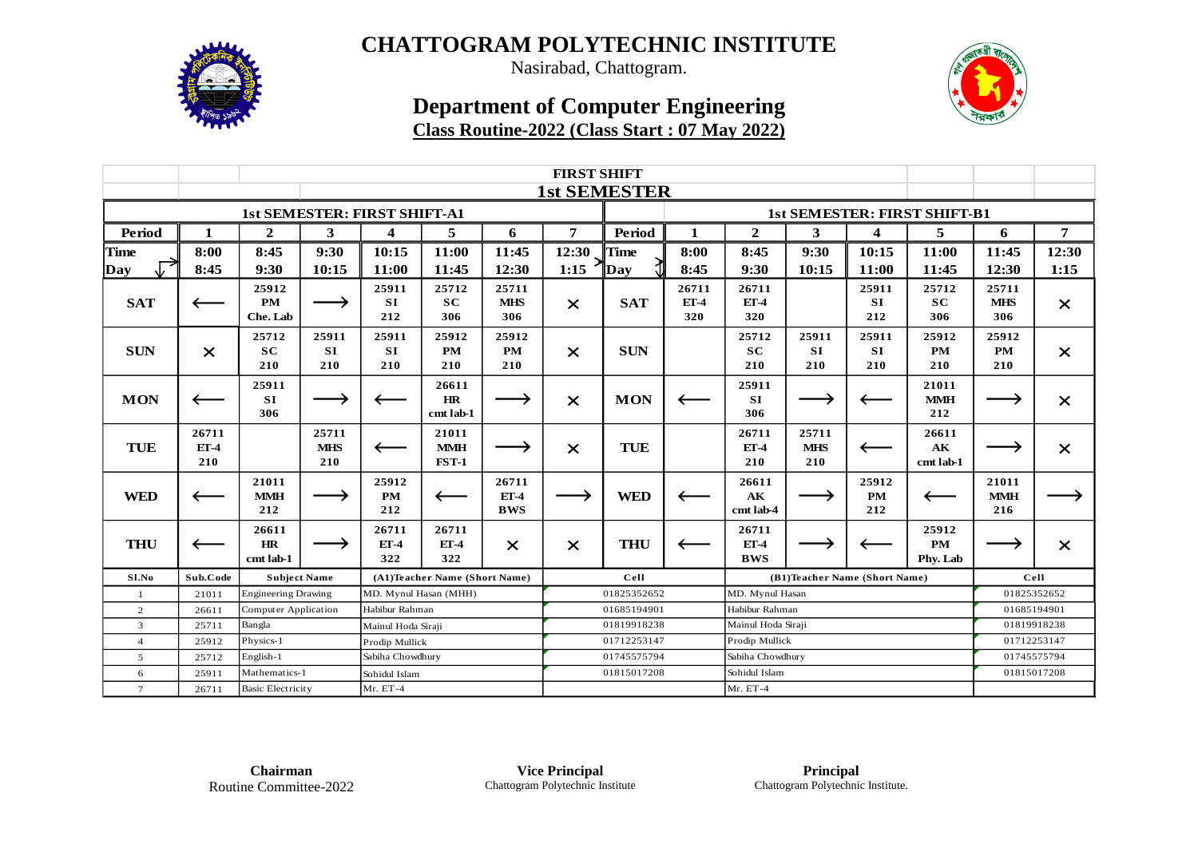

Nasirabad, Chattogram.

## **Department of Computer Engineering Class Routine-2022 (Class Start : 07 May 2022)**



|                 |                          | <b>FIRST SHIFT</b>                        |                                     |                               |                                     |                               |                                     |             |                        |                                    |                            |                           |                                 |                            |          |
|-----------------|--------------------------|-------------------------------------------|-------------------------------------|-------------------------------|-------------------------------------|-------------------------------|-------------------------------------|-------------|------------------------|------------------------------------|----------------------------|---------------------------|---------------------------------|----------------------------|----------|
|                 |                          | <b>1st SEMESTER</b>                       |                                     |                               |                                     |                               |                                     |             |                        |                                    |                            |                           |                                 |                            |          |
|                 |                          |                                           | <b>1st SEMESTER: FIRST SHIFT-A1</b> |                               |                                     |                               | <b>1st SEMESTER: FIRST SHIFT-B1</b> |             |                        |                                    |                            |                           |                                 |                            |          |
| Period          | 1                        | $\overline{2}$                            | 3                                   | 4                             | 5                                   | 6                             | 7                                   | Period      | 1                      | $\mathbf{2}$                       | 3                          | 4                         | 5                               | 6                          | 7        |
| <b>Time</b>     | 8:00                     | 8:45                                      | 9:30                                | 10:15                         | 11:00                               | 11:45                         | 12:30                               | Time        | 8:00                   | 8:45                               | 9:30                       | 10:15                     | 11:00                           | 11:45                      | 12:30    |
| Day             | 8:45                     | 9:30                                      | 10:15                               | 11:00                         | 11:45                               | 12:30                         | 1:15                                | $\Box$ Day  | 8:45                   | 9:30                               | 10:15                      | 11:00                     | 11:45                           | 12:30                      | 1:15     |
| <b>SAT</b>      | $\overline{\phantom{m}}$ | 25912<br><b>PM</b><br>Che. Lab            |                                     | 25911<br><b>SI</b><br>212     | 25712<br><b>SC</b><br>306           | 25711<br><b>MHS</b><br>306    | $\times$                            | <b>SAT</b>  | 26711<br>$ET-4$<br>320 | 26711<br>$ET-4$<br>320             |                            | 25911<br>SI<br>212        | 25712<br><b>SC</b><br>306       | 25711<br><b>MHS</b><br>306 | $\times$ |
| <b>SUN</b>      | $\times$                 | 25712<br><b>SC</b><br>210                 | 25911<br><b>SI</b><br>210           | 25911<br><b>SI</b><br>210     | 25912<br><b>PM</b><br>210           | 25912<br><b>PM</b><br>210     | $\times$                            | <b>SUN</b>  |                        | 25712<br>SC<br>210                 | 25911<br><b>SI</b><br>210  | 25911<br>SI<br>210        | 25912<br><b>PM</b><br>210       | 25912<br>PM<br>210         | $\times$ |
| <b>MON</b>      | $\overline{\phantom{m}}$ | 25911<br>SI<br>306                        |                                     |                               | 26611<br><b>HR</b><br>cmt lab-1     |                               | $\times$                            | <b>MON</b>  |                        | 25911<br>SI<br>306                 |                            |                           | 21011<br><b>MMH</b><br>212      |                            | $\times$ |
| TUE             | 26711<br>$ET-4$<br>210   |                                           | 25711<br><b>MHS</b><br>210          |                               | 21011<br><b>MMH</b><br><b>FST-1</b> |                               | $\times$                            | <b>TUE</b>  |                        | 26711<br>$ET-4$<br>210             | 25711<br><b>MHS</b><br>210 | $\longleftarrow$          | 26611<br><b>AK</b><br>cmt lab-1 |                            | $\times$ |
| <b>WED</b>      |                          | 21011<br><b>MMH</b><br>212                |                                     | 25912<br><b>PM</b><br>212     | $\longleftarrow$                    | 26711<br>$ET-4$<br><b>BWS</b> |                                     | <b>WED</b>  |                        | 26611<br>AK<br>cmt lab-4           |                            | 25912<br><b>PM</b><br>212 | $\longleftarrow$                | 21011<br><b>MMH</b><br>216 |          |
| <b>THU</b>      |                          | 26611<br>HR<br>cmt lab-1                  |                                     | 26711<br>$ET-4$<br>322        | 26711<br>$ET-4$<br>322              | $\times$                      | $\times$                            | <b>THU</b>  |                        | 26711<br>$ET-4$<br><b>BWS</b>      |                            |                           | 25912<br><b>PM</b><br>Phy. Lab  |                            | $\times$ |
| Sl.No           | Sub.Code                 | <b>Subject Name</b>                       |                                     | (A1)Teacher Name (Short Name) |                                     |                               | Cell                                |             |                        | (B1)Teacher Name (Short Name)      |                            |                           |                                 | Cell                       |          |
| -1              | 21011                    | <b>Engineering Drawing</b>                |                                     | MD. Mynul Hasan (MHH)         |                                     |                               | 01825352652                         |             |                        | MD. Mynul Hasan                    |                            |                           |                                 | 01825352652                |          |
| 2               | 26611                    | Computer Application                      |                                     | Habibur Rahman                |                                     |                               | 01685194901                         |             |                        | Habibur Rahman                     |                            |                           |                                 | 01685194901                |          |
| 3               | 25711                    | Bangla                                    |                                     | Mainul Hoda Siraji            |                                     |                               | 01819918238                         |             |                        | Mainul Hoda Siraji                 |                            | 01819918238               |                                 |                            |          |
| $\overline{4}$  | 25912                    | Physics-1                                 |                                     | Prodip Mullick                |                                     |                               | 01712253147                         |             |                        | Prodip Mullick<br>Sabiha Chowdhury |                            |                           |                                 | 01712253147                |          |
| 5               | 25712                    | English-1                                 |                                     | Sabiha Chowdhury              |                                     |                               | 01745575794                         |             |                        |                                    |                            |                           |                                 | 01745575794<br>01815017208 |          |
| 6               | 25911                    | Mathematics-1<br><b>Basic Electricity</b> |                                     | Sohidul Islam<br>Mr. ET-4     |                                     |                               |                                     | 01815017208 |                        | Sohidul Islam<br>Mr. ET-4          |                            |                           |                                 |                            |          |
| $7\phantom{.0}$ | 26711                    |                                           |                                     |                               |                                     |                               |                                     |             |                        |                                    |                            |                           |                                 |                            |          |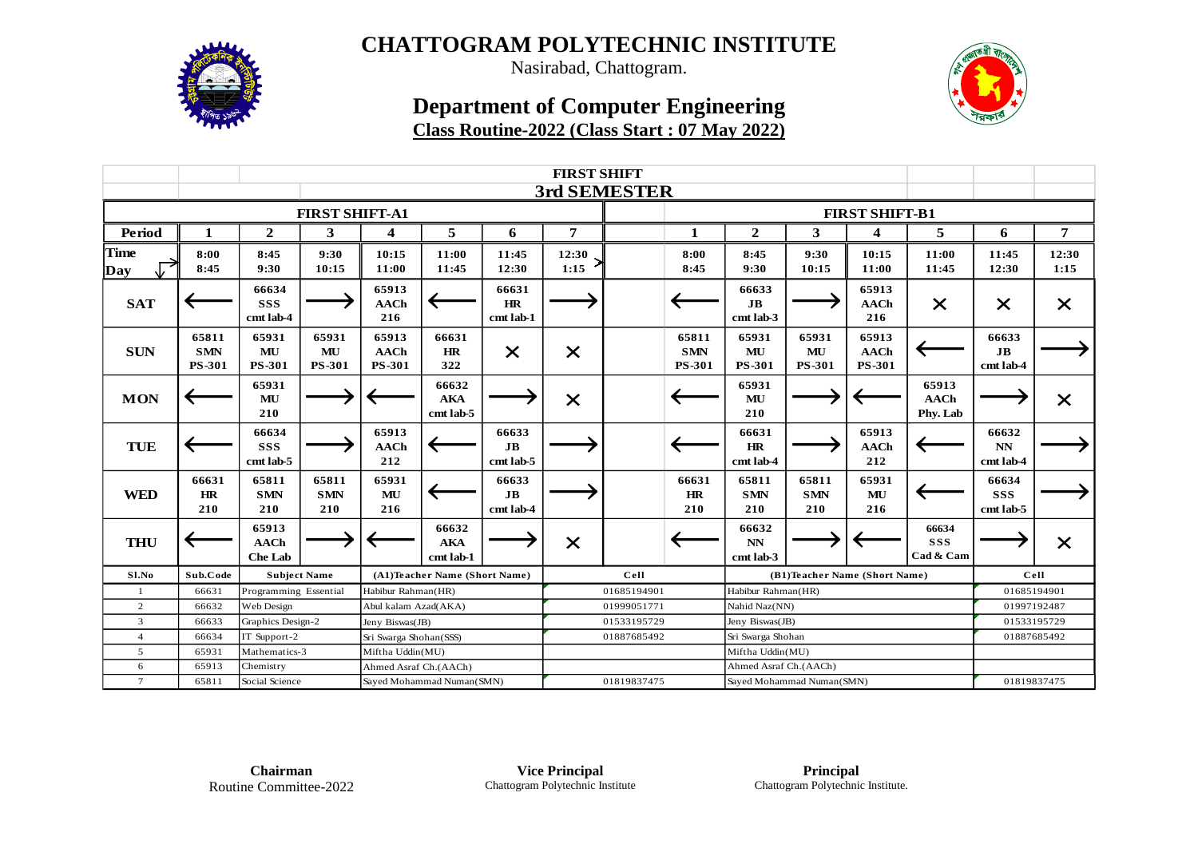

Nasirabad, Chattogram.

## **Department of Computer Engineering Class Routine-2022 (Class Start : 07 May 2022)**



|                    |                                      | <b>FIRST SHIFT</b>                     |                              |                                       |                                  |                                      |               |             |                                      |                                                    |                              |                                       |                                  |                                      |               |
|--------------------|--------------------------------------|----------------------------------------|------------------------------|---------------------------------------|----------------------------------|--------------------------------------|---------------|-------------|--------------------------------------|----------------------------------------------------|------------------------------|---------------------------------------|----------------------------------|--------------------------------------|---------------|
|                    |                                      | 3rd SEMESTER                           |                              |                                       |                                  |                                      |               |             |                                      |                                                    |                              |                                       |                                  |                                      |               |
|                    |                                      |                                        | <b>FIRST SHIFT-A1</b>        |                                       |                                  |                                      |               |             |                                      |                                                    |                              |                                       |                                  |                                      |               |
| <b>Period</b>      | 1                                    | $\overline{2}$                         | 3                            | $\overline{\mathbf{4}}$               | 5                                | 6                                    | 7             |             | 1                                    | $\mathbf{2}$                                       | 3                            | $\overline{\mathbf{4}}$               | 5                                | 6                                    | 7             |
| <b>Time</b><br>Day | 8:00<br>8:45                         | 8:45<br>9:30                           | 9:30<br>10:15                | 10:15<br>11:00                        | 11:00<br>11:45                   | 11:45<br>12:30                       | 12:30<br>1:15 |             | 8:00<br>8:45                         | 8:45<br>9:30                                       | 9:30<br>10:15                | 10:15<br>11:00                        | 11:00<br>11:45                   | 11:45<br>12:30                       | 12:30<br>1:15 |
| <b>SAT</b>         |                                      | 66634<br><b>SSS</b><br>cmt lab-4       |                              | 65913<br><b>AACh</b><br>216           |                                  | 66631<br>HR<br>cmt lab-1             |               |             |                                      | 66633<br>J <sub>B</sub><br>cmt lab-3               |                              | 65913<br><b>AACh</b><br>216           | $\times$                         | $\times$                             | $\times$      |
| <b>SUN</b>         | 65811<br><b>SMN</b><br><b>PS-301</b> | 65931<br>MU<br><b>PS-301</b>           | 65931<br>MU<br><b>PS-301</b> | 65913<br><b>AACh</b><br><b>PS-301</b> | 66631<br><b>HR</b><br>322        | $\times$                             | $\times$      |             | 65811<br><b>SMN</b><br><b>PS-301</b> | 65931<br>MU<br><b>PS-301</b>                       | 65931<br>MU<br><b>PS-301</b> | 65913<br><b>AACh</b><br><b>PS-301</b> |                                  | 66633<br>J <sub>B</sub><br>cmt lab-4 |               |
| <b>MON</b>         |                                      | 65931<br>MU<br>210                     |                              |                                       | 66632<br><b>AKA</b><br>cmt lab-5 |                                      | $\times$      |             |                                      | 65931<br>MU<br>210                                 |                              |                                       | 65913<br><b>AACh</b><br>Phy. Lab |                                      | $\times$      |
| <b>TUE</b>         |                                      | 66634<br><b>SSS</b><br>cmt lab-5       |                              | 65913<br><b>AACh</b><br>212           |                                  | 66633<br>J <sub>B</sub><br>cmt lab-5 |               |             |                                      | 66631<br>HR<br>cmt lab-4                           |                              | 65913<br><b>AACh</b><br>212           |                                  | 66632<br><b>NN</b><br>cmt lab-4      |               |
| <b>WED</b>         | 66631<br>HR<br>210                   | 65811<br><b>SMN</b><br>210             | 65811<br><b>SMN</b><br>210   | 65931<br>MU<br>216                    |                                  | 66633<br>J <sub>B</sub><br>cmt lab-4 |               |             | 66631<br>HR<br>210                   | 65811<br><b>SMN</b><br>210                         | 65811<br><b>SMN</b><br>210   | 65931<br>MU<br>216                    |                                  | 66634<br><b>SSS</b><br>cmt lab-5     |               |
| <b>THU</b>         |                                      | 65913<br><b>AACh</b><br><b>Che Lab</b> |                              |                                       | 66632<br><b>AKA</b><br>cmt lab-1 |                                      | $\times$      |             |                                      | 66632<br><b>NN</b><br>cmt lab-3                    |                              |                                       | 66634<br><b>SSS</b><br>Cad & Cam |                                      | $\times$      |
| Sl.No              | Sub.Code                             | <b>Subject Name</b>                    |                              | (A1)Teacher Name (Short Name)         |                                  |                                      | Cell          |             |                                      | (B1)Teacher Name (Short Name)                      |                              |                                       |                                  | Cell                                 |               |
| -1                 | 66631                                | Programming Essential                  |                              | Habibur Rahman(HR)                    |                                  |                                      | 01685194901   |             | Habibur Rahman(HR)                   |                                                    |                              |                                       | 01685194901                      |                                      |               |
| 2                  | 66632                                | Web Design                             |                              | Abul kalam Azad(AKA)                  |                                  |                                      | 01999051771   |             |                                      | Nahid Naz(NN)                                      |                              |                                       |                                  | 01997192487                          |               |
| 3                  | 66633                                | Graphics Design-2                      |                              | Jeny Biswas(JB)                       |                                  |                                      | 01533195729   |             |                                      | Jeny Biswas(JB)                                    |                              |                                       |                                  | 01533195729                          |               |
| $\overline{4}$     | 66634                                | IT Support-2                           |                              | Sri Swarga Shohan(SSS)                |                                  |                                      | 01887685492   |             |                                      | Sri Swarga Shohan                                  |                              |                                       |                                  | 01887685492                          |               |
| 5                  | 65931                                | Mathematics-3                          |                              | Miftha Uddin(MU)                      |                                  |                                      |               |             | Miftha Uddin(MU)                     |                                                    |                              |                                       |                                  |                                      |               |
| 6                  | 65913                                | Chemistry                              |                              | Ahmed Asraf Ch.(AACh)                 |                                  |                                      |               |             |                                      | Ahmed Asraf Ch.(AACh)<br>Sayed Mohammad Numan(SMN) |                              |                                       |                                  |                                      |               |
| $\tau$             | 65811                                | Social Science                         |                              | Sayed Mohammad Numan(SMN)             |                                  |                                      |               | 01819837475 |                                      |                                                    |                              | 01819837475                           |                                  |                                      |               |

**Chairman** Routine Committee-2022

**Vice Principal** Chattogram Polytechnic Institute

**Principal** Chattogram Polytechnic Institute.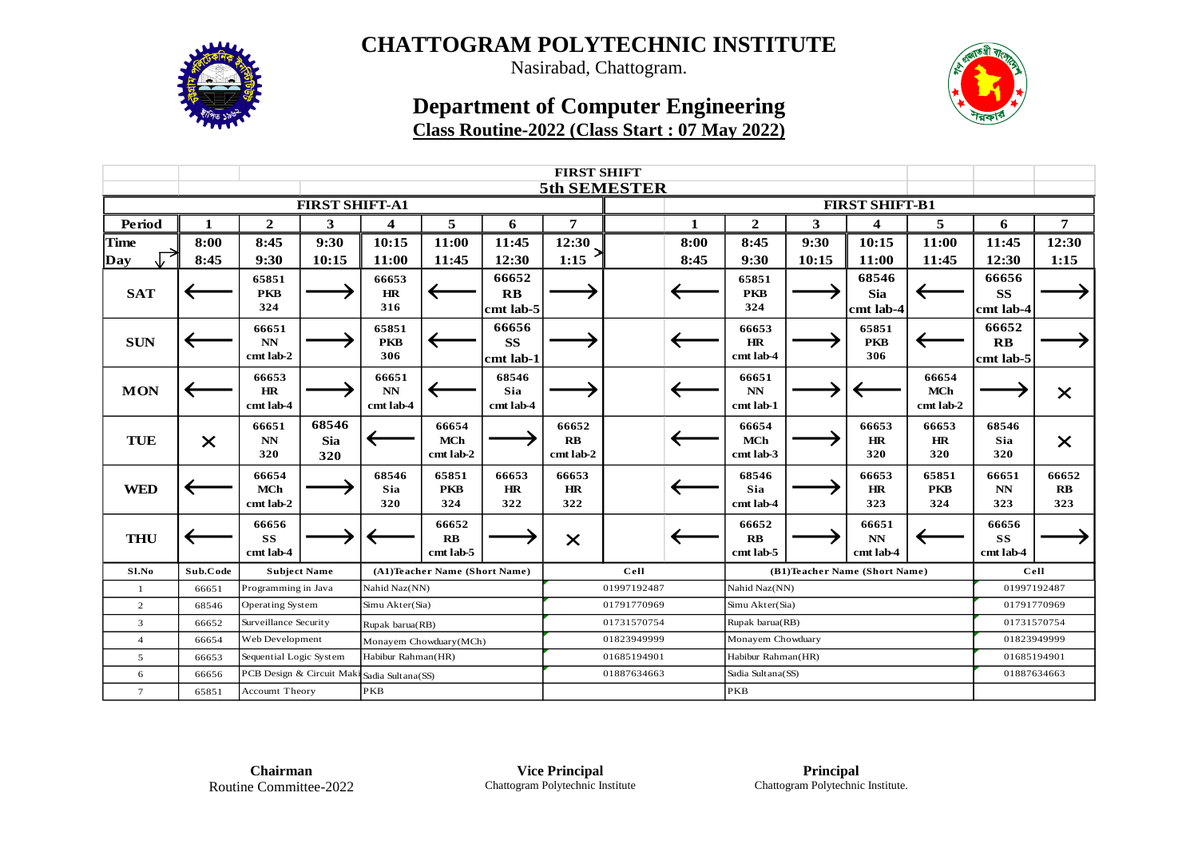

Nasirabad, Chattogram.

## **Department of Computer Engineering**



# **Class Routine-2022 (Class Start : 07 May 2022)**

|                       | <b>FIRST SHIFT</b> |                                  |                            |                               |                                     |                                    |                                     |  |      |                                             |       |                                  |                                  |                                             |                          |
|-----------------------|--------------------|----------------------------------|----------------------------|-------------------------------|-------------------------------------|------------------------------------|-------------------------------------|--|------|---------------------------------------------|-------|----------------------------------|----------------------------------|---------------------------------------------|--------------------------|
|                       |                    |                                  |                            |                               |                                     |                                    | <b>5th SEMESTER</b>                 |  |      |                                             |       |                                  |                                  |                                             |                          |
| <b>FIRST SHIFT-A1</b> |                    |                                  |                            |                               |                                     |                                    |                                     |  |      |                                             |       |                                  |                                  |                                             |                          |
| Period                | 1                  | $\overline{2}$                   | 3                          | 4                             | 5                                   | 6                                  | 7                                   |  | 1    | $\mathbf{2}$                                | 3     | $\overline{\mathbf{4}}$          | 5                                | 6                                           | $\overline{7}$           |
| <b>Time</b>           | 8:00               | 8:45                             | 9:30                       | 10:15                         | 11:00                               | 11:45                              | 12:30                               |  | 8:00 | 8:45                                        | 9:30  | 10:15                            | 11:00                            | 11:45                                       | 12:30                    |
| Day                   | 8:45               | 9:30                             | 10:15                      | 11:00                         | 11:45                               | 12:30                              | 1:15                                |  | 8:45 | 9:30                                        | 10:15 | 11:00                            | 11:45                            | 12:30                                       | 1:15                     |
| <b>SAT</b>            |                    | 65851<br><b>PKB</b><br>324       |                            | 66653<br>HR<br>316            |                                     | 66652<br>$\mathbf{R}$<br>cmt lab-5 |                                     |  |      | 65851<br><b>PKB</b><br>324                  |       | 68546<br><b>Sia</b><br>cmt lab-4 |                                  | 66656<br><b>SS</b><br>cmt lab-4             |                          |
| <b>SUN</b>            |                    | 66651<br>$\bf NN$<br>cmt lab-2   |                            | 65851<br><b>PKB</b><br>306    |                                     | 66656<br><b>SS</b><br>cmt lab-1    |                                     |  |      | 66653<br><b>HR</b><br>cmt lab-4             |       | 65851<br><b>PKB</b><br>306       |                                  | 66652<br>$\mathbf{R}$ <b>B</b><br>cmt lab-5 |                          |
| <b>MON</b>            |                    | 66653<br>HR<br>cmt lab-4         |                            | 66651<br>NN<br>cmt lab-4      |                                     | 68546<br><b>Sia</b><br>cmt lab-4   |                                     |  |      | 66651<br>NN<br>cmt lab-1                    |       |                                  | 66654<br><b>MCh</b><br>cmt lab-2 |                                             | $\times$                 |
| TUE                   | $\times$           | 66651<br>$\bf NN$<br>320         | 68546<br><b>Sia</b><br>320 |                               | 66654<br><b>MCh</b><br>cmt lab-2    |                                    | 66652<br>$\mathbf{RB}$<br>cmt lab-2 |  |      | 66654<br><b>MCh</b><br>cmt lab-3            |       | 66653<br>HR<br>320               | 66653<br>HR<br>320               | 68546<br>Sia<br>320                         | $\times$                 |
| <b>WED</b>            |                    | 66654<br><b>MCh</b><br>cmt lab-2 |                            | 68546<br>Sia<br>320           | 65851<br><b>PKB</b><br>324          | 66653<br>HR<br>322                 | 66653<br>HR<br>322                  |  |      | 68546<br>Sia<br>cmt lab-4                   |       | 66653<br>HR<br>323               | 65851<br><b>PKB</b><br>324       | 66651<br>$\mathbf{N}\mathbf{N}$<br>323      | 66652<br>$\bf RB$<br>323 |
| <b>THU</b>            |                    | 66656<br><b>SS</b><br>cmt lab-4  |                            |                               | 66652<br>$\mathbf{RB}$<br>cmt lab-5 |                                    | $\times$                            |  |      | 66652<br>$\mathbf{R}$ <b>B</b><br>cmt lab-5 |       | 66651<br><b>NN</b><br>cmt lab-4  |                                  | 66656<br><b>SS</b><br>cmt lab-4             |                          |
| Sl.No                 | Sub.Code           |                                  | <b>Subject Name</b>        | (A1)Teacher Name (Short Name) |                                     |                                    | Cell                                |  |      | (B1)Teacher Name (Short Name)               |       |                                  |                                  | Cell                                        |                          |
| $\mathbf{1}$          | 66651              | Programming in Java              |                            | Nahid Naz(NN)                 |                                     |                                    | 01997192487                         |  |      | Nahid Naz(NN)                               |       |                                  |                                  | 01997192487                                 |                          |
| 2                     | 68546              | Operating System                 |                            | Simu Akter(Sia)               |                                     |                                    | 01791770969                         |  |      | Simu Akter(Sia)                             |       |                                  |                                  | 01791770969                                 |                          |
| $\overline{3}$        | 66652              | Surveillance Security            |                            | Rupak barua(RB)               |                                     |                                    | 01731570754                         |  |      | Rupak barua(RB)                             |       |                                  |                                  | 01731570754                                 |                          |
| $\overline{4}$        | 66654              | Web Development                  |                            | Monayem Chowduary(MCh)        |                                     |                                    | 01823949999                         |  |      | Monayem Chowduary                           |       |                                  |                                  | 01823949999                                 |                          |
| 5                     | 66653              | Sequential Logic System          |                            | Habibur Rahman(HR)            |                                     |                                    | 01685194901                         |  |      | Habibur Rahman(HR)                          |       |                                  |                                  | 01685194901                                 |                          |
| 6                     | 66656              | PCB Design & Circuit Maki        |                            | Sadia Sultana(SS)             |                                     |                                    | 01887634663                         |  |      | Sadia Sultana(SS)                           |       |                                  |                                  | 01887634663                                 |                          |
| $\tau$                | 65851              | <b>Account Theory</b>            |                            | <b>PKB</b>                    |                                     |                                    |                                     |  |      | <b>PKB</b>                                  |       |                                  |                                  |                                             |                          |